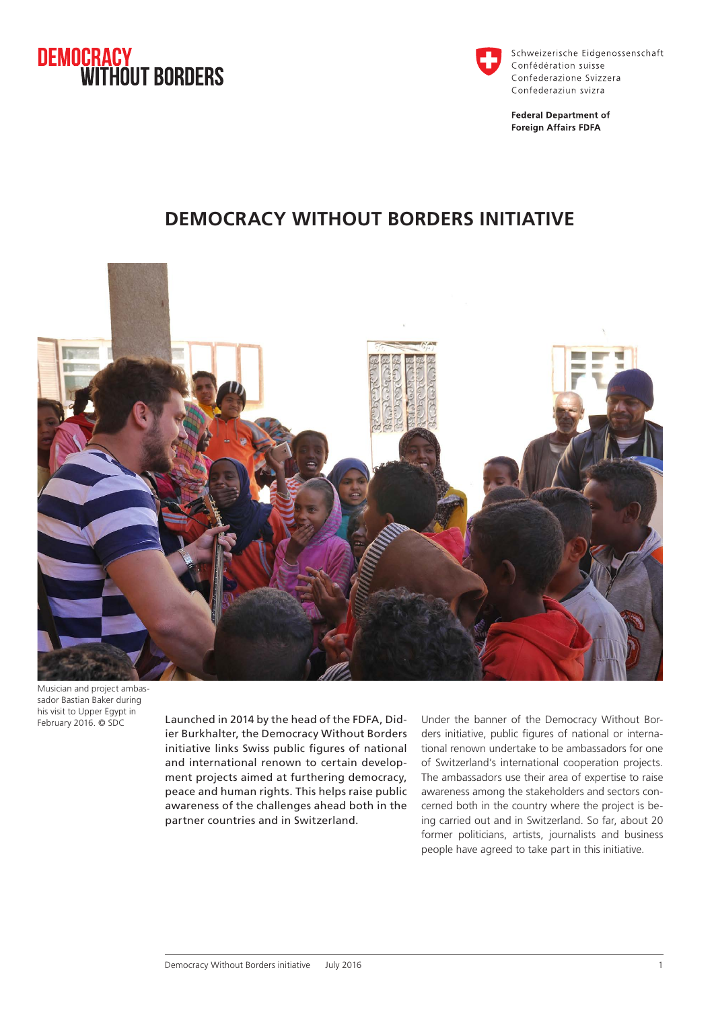



Schweizerische Eidgenossenschaft Confédération suisse Confederazione Svizzera Confederaziun svizra

**Federal Department of Foreign Affairs FDFA** 

## **DEMOCRACY WITHOUT BORDERS INITIATIVE**



Musician and project ambassador Bastian Baker during his visit to Upper Egypt in

February 2016. © SDC Launched in 2014 by the head of the FDFA, Didier Burkhalter, the Democracy Without Borders initiative links Swiss public figures of national and international renown to certain development projects aimed at furthering democracy, peace and human rights. This helps raise public awareness of the challenges ahead both in the partner countries and in Switzerland.

Under the banner of the Democracy Without Borders initiative, public figures of national or international renown undertake to be ambassadors for one of Switzerland's international cooperation projects. The ambassadors use their area of expertise to raise awareness among the stakeholders and sectors concerned both in the country where the project is being carried out and in Switzerland. So far, about 20 former politicians, artists, journalists and business people have agreed to take part in this initiative.